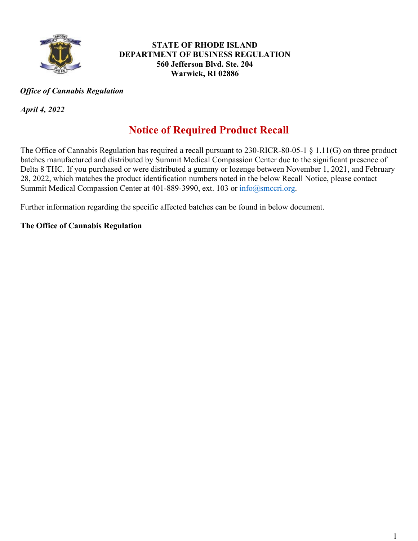

#### **STATE OF RHODE ISLAND DEPARTMENT OF BUSINESS REGULATION 560 Jefferson Blvd. Ste. 204 Warwick, RI 02886**

### *Office of Cannabis Regulation*

*April 4, 2022*

## **Notice of Required Product Recall**

The Office of Cannabis Regulation has required a recall pursuant to 230-RICR-80-05-1 § 1.11(G) on three product batches manufactured and distributed by Summit Medical Compassion Center due to the significant presence of Delta 8 THC. If you purchased or were distributed a gummy or lozenge between November 1, 2021, and February 28, 2022, which matches the product identification numbers noted in the below Recall Notice, please contact Summit Medical Compassion Center at 401-889-3990, ext. 103 or [info@smccri.org.](mailto:info@smccri.org)

Further information regarding the specific affected batches can be found in below document.

### **The Office of Cannabis Regulation**